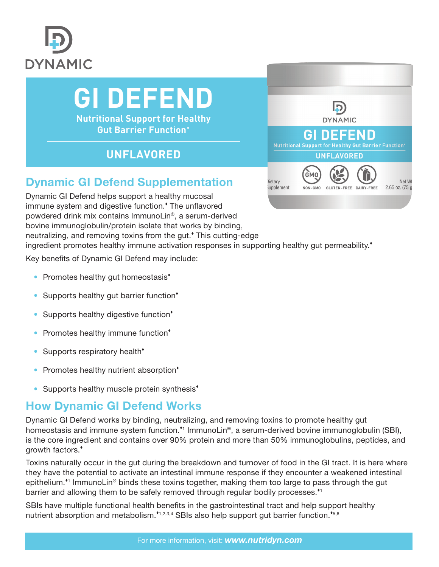

# **GI DEFEND**

**Nutritional Support for Healthy Gut Barrier Function\*** 

## **UNFLAVORED**

### Dynamic GI Defend Supplementation

Dynamic GI Defend helps support a healthy mucosal immune system and digestive function. The unflavored powdered drink mix contains ImmunoLin®, a serum-derived bovine immunoglobulin/protein isolate that works by binding, neutralizing, and removing toxins from the gut. This cutting-edge ingredient promotes healthy immune activation responses in supporting healthy gut permeability.<sup>\*</sup>

Key benefits of Dynamic GI Defend may include:

- Promotes healthy gut homeostasis<sup>\*</sup>
- Supports healthy gut barrier function<sup>\*</sup>
- Supports healthy digestive function<sup>\*</sup>
- Promotes healthy immune function<sup>\*</sup>
- Supports respiratory health<sup>\*</sup>
- Promotes healthy nutrient absorption<sup>\*</sup>
- Supports healthy muscle protein synthesis<sup>\*</sup>

#### How Dynamic GI Defend Works

Dynamic GI Defend works by binding, neutralizing, and removing toxins to promote healthy gut homeostasis and immune system function.\*1 ImmunoLin®, a serum-derived bovine immunoglobulin (SBI), is the core ingredient and contains over 90% protein and more than 50% immunoglobulins, peptides, and growth factors.

Toxins naturally occur in the gut during the breakdown and turnover of food in the GI tract. It is here where they have the potential to activate an intestinal immune response if they encounter a weakened intestinal epithelium.<sup>\*</sup>1 ImmunoLin® binds these toxins together, making them too large to pass through the gut barrier and allowing them to be safely removed through regular bodily processes.<sup>\*1</sup>

SBIs have multiple functional health benefits in the gastrointestinal tract and help support healthy nutrient absorption and metabolism.<sup> $*$ 1,2,3,4</sup> SBIs also help support gut barrier function. $*$ <sup>5,6</sup>